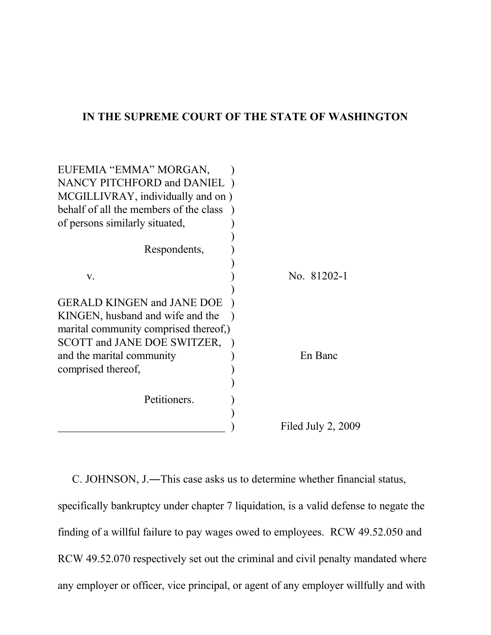### **IN THE SUPREME COURT OF THE STATE OF WASHINGTON**

| EUFEMIA "EMMA" MORGAN,<br>NANCY PITCHFORD and DANIEL<br>MCGILLIVRAY, individually and on)<br>behalf of all the members of the class<br>of persons similarly situated, |                      |
|-----------------------------------------------------------------------------------------------------------------------------------------------------------------------|----------------------|
| Respondents,                                                                                                                                                          |                      |
| V.                                                                                                                                                                    | No. 81202-1          |
| <b>GERALD KINGEN and JANE DOE</b><br>KINGEN, husband and wife and the<br>marital community comprised thereof,)<br>SCOTT and JANE DOE SWITZER,                         |                      |
| and the marital community<br>comprised thereof,                                                                                                                       | En Banc              |
| Petitioners.                                                                                                                                                          |                      |
|                                                                                                                                                                       | Filed July $2, 2009$ |

C. JOHNSON, J.―This case asks us to determine whether financial status, specifically bankruptcy under chapter 7 liquidation, is a valid defense to negate the finding of a willful failure to pay wages owed to employees. RCW 49.52.050 and RCW 49.52.070 respectively set out the criminal and civil penalty mandated where any employer or officer, vice principal, or agent of any employer willfully and with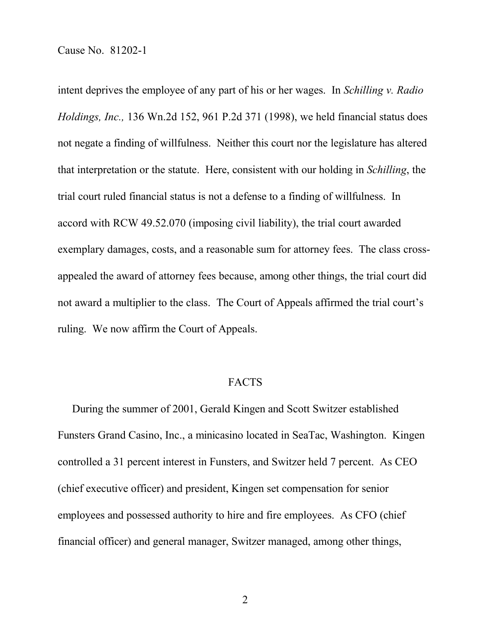intent deprives the employee of any part of his or her wages. In *Schilling v. Radio Holdings, Inc.,* 136 Wn.2d 152, 961 P.2d 371 (1998), we held financial status does not negate a finding of willfulness. Neither this court nor the legislature has altered that interpretation or the statute. Here, consistent with our holding in *Schilling*, the trial court ruled financial status is not a defense to a finding of willfulness. In accord with RCW 49.52.070 (imposing civil liability), the trial court awarded exemplary damages, costs, and a reasonable sum for attorney fees. The class crossappealed the award of attorney fees because, among other things, the trial court did not award a multiplier to the class. The Court of Appeals affirmed the trial court's ruling. We now affirm the Court of Appeals.

### FACTS

During the summer of 2001, Gerald Kingen and Scott Switzer established Funsters Grand Casino, Inc., a minicasino located in SeaTac, Washington. Kingen controlled a 31 percent interest in Funsters, and Switzer held 7 percent. As CEO (chief executive officer) and president, Kingen set compensation for senior employees and possessed authority to hire and fire employees. As CFO (chief financial officer) and general manager, Switzer managed, among other things,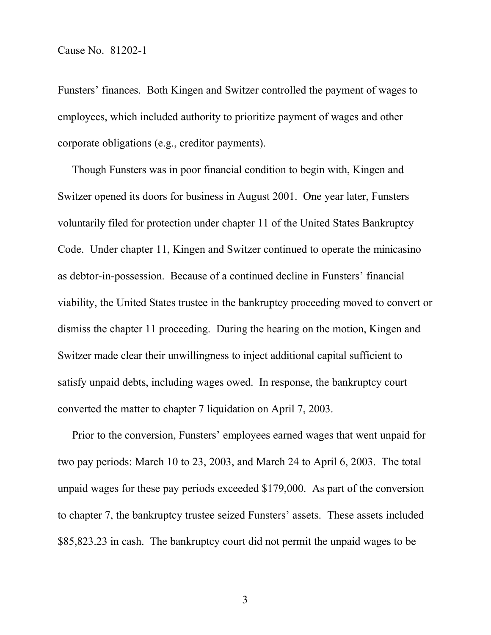Funsters' finances. Both Kingen and Switzer controlled the payment of wages to employees, which included authority to prioritize payment of wages and other corporate obligations (e.g., creditor payments).

Though Funsters was in poor financial condition to begin with, Kingen and Switzer opened its doors for business in August 2001. One year later, Funsters voluntarily filed for protection under chapter 11 of the United States Bankruptcy Code. Under chapter 11, Kingen and Switzer continued to operate the minicasino as debtor-in-possession. Because of a continued decline in Funsters' financial viability, the United States trustee in the bankruptcy proceeding moved to convert or dismiss the chapter 11 proceeding. During the hearing on the motion, Kingen and Switzer made clear their unwillingness to inject additional capital sufficient to satisfy unpaid debts, including wages owed. In response, the bankruptcy court converted the matter to chapter 7 liquidation on April 7, 2003.

Prior to the conversion, Funsters' employees earned wages that went unpaid for two pay periods: March 10 to 23, 2003, and March 24 to April 6, 2003. The total unpaid wages for these pay periods exceeded \$179,000. As part of the conversion to chapter 7, the bankruptcy trustee seized Funsters' assets. These assets included \$85,823.23 in cash. The bankruptcy court did not permit the unpaid wages to be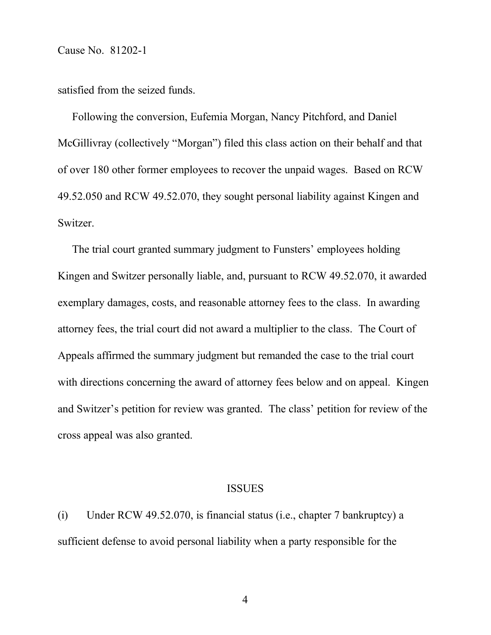satisfied from the seized funds.

Following the conversion, Eufemia Morgan, Nancy Pitchford, and Daniel McGillivray (collectively "Morgan") filed this class action on their behalf and that of over 180 other former employees to recover the unpaid wages. Based on RCW 49.52.050 and RCW 49.52.070, they sought personal liability against Kingen and Switzer.

The trial court granted summary judgment to Funsters' employees holding Kingen and Switzer personally liable, and, pursuant to RCW 49.52.070, it awarded exemplary damages, costs, and reasonable attorney fees to the class. In awarding attorney fees, the trial court did not award a multiplier to the class. The Court of Appeals affirmed the summary judgment but remanded the case to the trial court with directions concerning the award of attorney fees below and on appeal. Kingen and Switzer's petition for review was granted. The class' petition for review of the cross appeal was also granted.

#### ISSUES

(i) Under RCW 49.52.070, is financial status (i.e., chapter 7 bankruptcy) a sufficient defense to avoid personal liability when a party responsible for the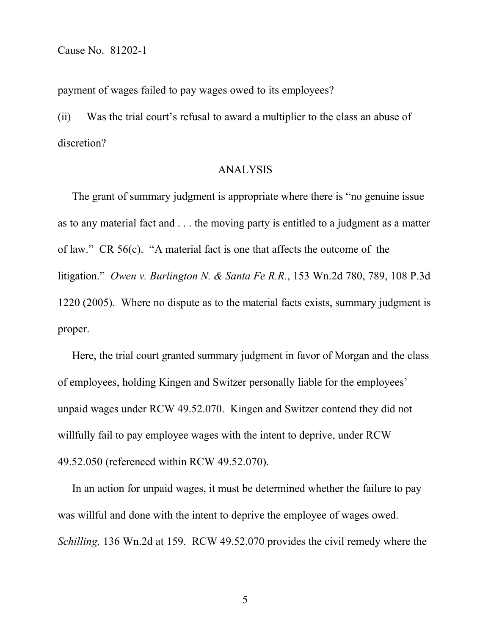payment of wages failed to pay wages owed to its employees?

(ii) Was the trial court's refusal to award a multiplier to the class an abuse of discretion?

### ANALYSIS

The grant of summary judgment is appropriate where there is "no genuine issue as to any material fact and . . . the moving party is entitled to a judgment as a matter of law." CR 56(c). "A material fact is one that affects the outcome of the litigation." *Owen v. Burlington N. & Santa Fe R.R.*, 153 Wn.2d 780, 789, 108 P.3d 1220 (2005). Where no dispute as to the material facts exists, summary judgment is proper.

Here, the trial court granted summary judgment in favor of Morgan and the class of employees, holding Kingen and Switzer personally liable for the employees' unpaid wages under RCW 49.52.070. Kingen and Switzer contend they did not willfully fail to pay employee wages with the intent to deprive, under RCW 49.52.050 (referenced within RCW 49.52.070).

In an action for unpaid wages, it must be determined whether the failure to pay was willful and done with the intent to deprive the employee of wages owed. *Schilling,* 136 Wn.2d at 159. RCW 49.52.070 provides the civil remedy where the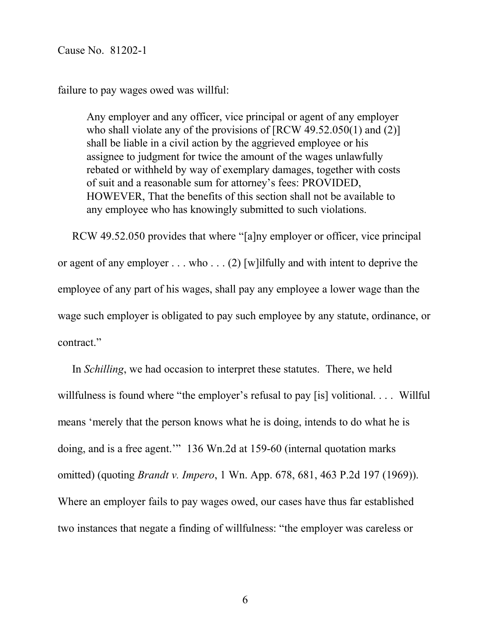failure to pay wages owed was willful:

Any employer and any officer, vice principal or agent of any employer who shall violate any of the provisions of [RCW 49.52.050(1) and (2)] shall be liable in a civil action by the aggrieved employee or his assignee to judgment for twice the amount of the wages unlawfully rebated or withheld by way of exemplary damages, together with costs of suit and a reasonable sum for attorney's fees: PROVIDED, HOWEVER, That the benefits of this section shall not be available to any employee who has knowingly submitted to such violations.

RCW 49.52.050 provides that where "[a]ny employer or officer, vice principal or agent of any employer . . . who . . . (2) [w]ilfully and with intent to deprive the employee of any part of his wages, shall pay any employee a lower wage than the wage such employer is obligated to pay such employee by any statute, ordinance, or contract."

In *Schilling*, we had occasion to interpret these statutes. There, we held willfulness is found where "the employer's refusal to pay [is] volitional. . . . Willful means 'merely that the person knows what he is doing, intends to do what he is doing, and is a free agent.'" 136 Wn.2d at 159-60 (internal quotation marks omitted) (quoting *Brandt v. Impero*, 1 Wn. App. 678, 681, 463 P.2d 197 (1969)). Where an employer fails to pay wages owed, our cases have thus far established two instances that negate a finding of willfulness: "the employer was careless or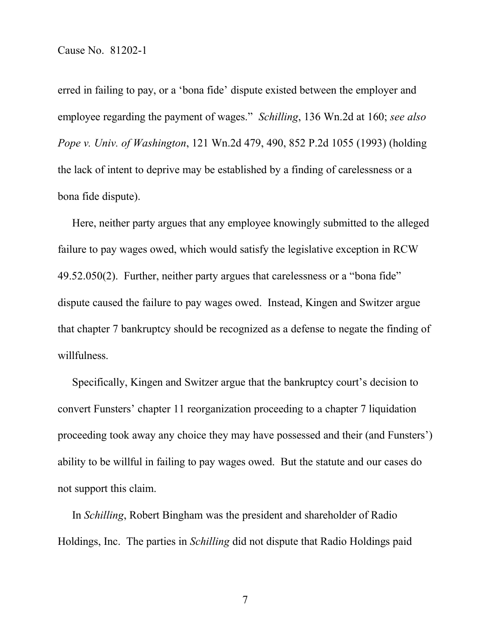erred in failing to pay, or a 'bona fide' dispute existed between the employer and employee regarding the payment of wages." *Schilling*, 136 Wn.2d at 160; *see also Pope v. Univ. of Washington*, 121 Wn.2d 479, 490, 852 P.2d 1055 (1993) (holding the lack of intent to deprive may be established by a finding of carelessness or a bona fide dispute).

Here, neither party argues that any employee knowingly submitted to the alleged failure to pay wages owed, which would satisfy the legislative exception in RCW 49.52.050(2). Further, neither party argues that carelessness or a "bona fide" dispute caused the failure to pay wages owed. Instead, Kingen and Switzer argue that chapter 7 bankruptcy should be recognized as a defense to negate the finding of willfulness.

Specifically, Kingen and Switzer argue that the bankruptcy court's decision to convert Funsters' chapter 11 reorganization proceeding to a chapter 7 liquidation proceeding took away any choice they may have possessed and their (and Funsters') ability to be willful in failing to pay wages owed. But the statute and our cases do not support this claim.

In *Schilling*, Robert Bingham was the president and shareholder of Radio Holdings, Inc. The parties in *Schilling* did not dispute that Radio Holdings paid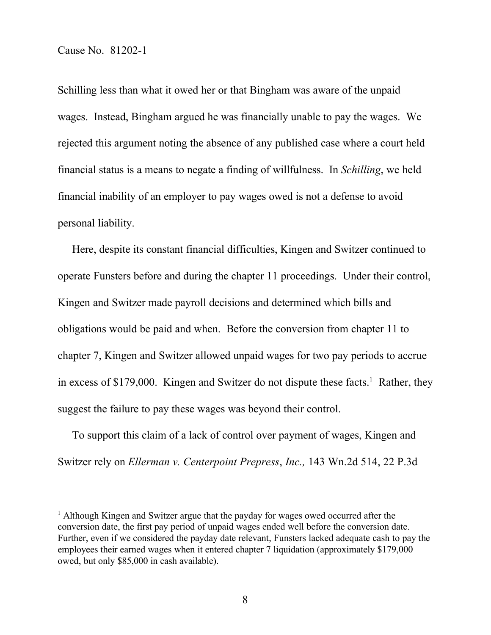Schilling less than what it owed her or that Bingham was aware of the unpaid wages. Instead, Bingham argued he was financially unable to pay the wages. We rejected this argument noting the absence of any published case where a court held financial status is a means to negate a finding of willfulness. In *Schilling*, we held financial inability of an employer to pay wages owed is not a defense to avoid personal liability.

Here, despite its constant financial difficulties, Kingen and Switzer continued to operate Funsters before and during the chapter 11 proceedings. Under their control, Kingen and Switzer made payroll decisions and determined which bills and obligations would be paid and when. Before the conversion from chapter 11 to chapter 7, Kingen and Switzer allowed unpaid wages for two pay periods to accrue in excess of \$179,000. Kingen and Switzer do not dispute these facts.<sup>1</sup> Rather, they suggest the failure to pay these wages was beyond their control.

To support this claim of a lack of control over payment of wages, Kingen and Switzer rely on *Ellerman v. Centerpoint Prepress*, *Inc.,* 143 Wn.2d 514, 22 P.3d

<sup>&</sup>lt;sup>1</sup> Although Kingen and Switzer argue that the payday for wages owed occurred after the conversion date, the first pay period of unpaid wages ended well before the conversion date. Further, even if we considered the payday date relevant, Funsters lacked adequate cash to pay the employees their earned wages when it entered chapter 7 liquidation (approximately \$179,000 owed, but only \$85,000 in cash available).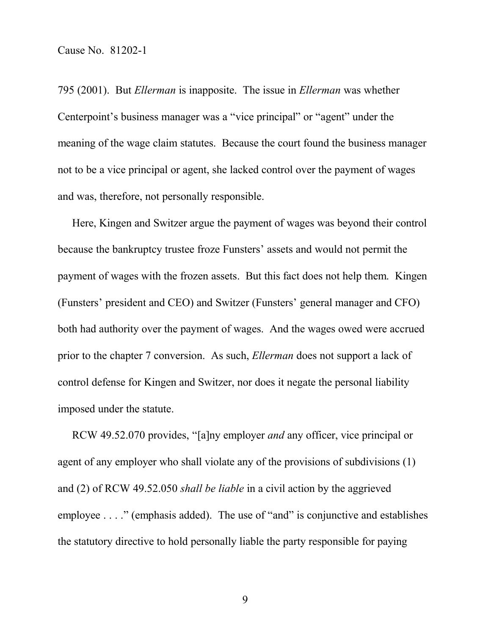795 (2001). But *Ellerman* is inapposite. The issue in *Ellerman* was whether Centerpoint's business manager was a "vice principal" or "agent" under the meaning of the wage claim statutes. Because the court found the business manager not to be a vice principal or agent, she lacked control over the payment of wages and was, therefore, not personally responsible.

Here, Kingen and Switzer argue the payment of wages was beyond their control because the bankruptcy trustee froze Funsters' assets and would not permit the payment of wages with the frozen assets. But this fact does not help them. Kingen (Funsters' president and CEO) and Switzer (Funsters' general manager and CFO) both had authority over the payment of wages. And the wages owed were accrued prior to the chapter 7 conversion. As such, *Ellerman* does not support a lack of control defense for Kingen and Switzer, nor does it negate the personal liability imposed under the statute.

RCW 49.52.070 provides, "[a]ny employer *and* any officer, vice principal or agent of any employer who shall violate any of the provisions of subdivisions (1) and (2) of RCW 49.52.050 *shall be liable* in a civil action by the aggrieved employee . . . ." (emphasis added). The use of "and" is conjunctive and establishes the statutory directive to hold personally liable the party responsible for paying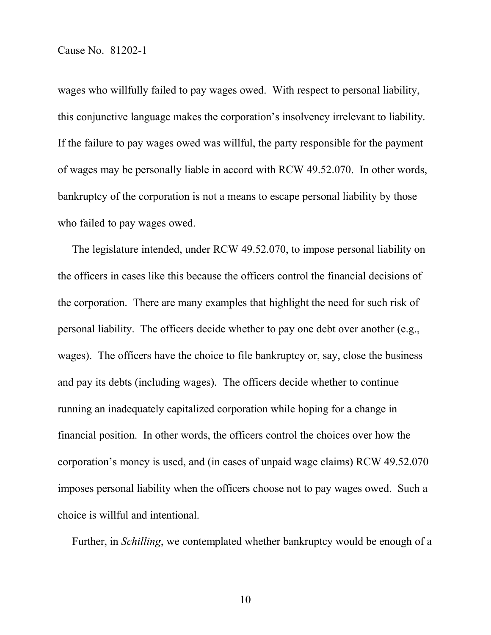wages who willfully failed to pay wages owed. With respect to personal liability, this conjunctive language makes the corporation's insolvency irrelevant to liability. If the failure to pay wages owed was willful, the party responsible for the payment of wages may be personally liable in accord with RCW 49.52.070. In other words, bankruptcy of the corporation is not a means to escape personal liability by those who failed to pay wages owed.

The legislature intended, under RCW 49.52.070, to impose personal liability on the officers in cases like this because the officers control the financial decisions of the corporation. There are many examples that highlight the need for such risk of personal liability. The officers decide whether to pay one debt over another (e.g., wages). The officers have the choice to file bankruptcy or, say, close the business and pay its debts (including wages). The officers decide whether to continue running an inadequately capitalized corporation while hoping for a change in financial position. In other words, the officers control the choices over how the corporation's money is used, and (in cases of unpaid wage claims) RCW 49.52.070 imposes personal liability when the officers choose not to pay wages owed. Such a choice is willful and intentional.

Further, in *Schilling*, we contemplated whether bankruptcy would be enough of a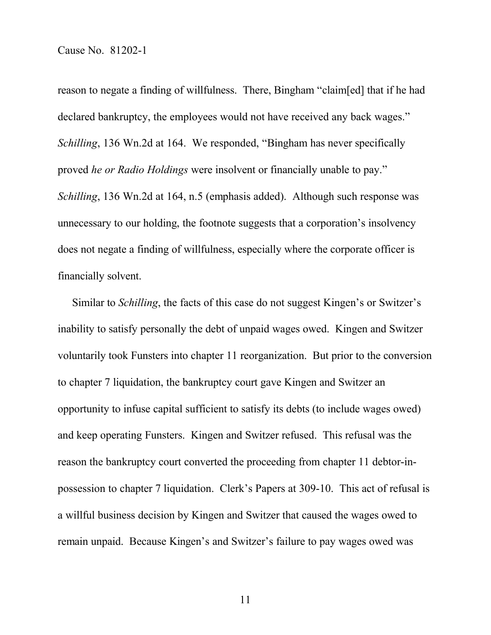reason to negate a finding of willfulness. There, Bingham "claim[ed] that if he had declared bankruptcy, the employees would not have received any back wages." *Schilling*, 136 Wn.2d at 164. We responded, "Bingham has never specifically proved *he or Radio Holdings* were insolvent or financially unable to pay." *Schilling*, 136 Wn.2d at 164, n.5 (emphasis added). Although such response was unnecessary to our holding, the footnote suggests that a corporation's insolvency does not negate a finding of willfulness, especially where the corporate officer is financially solvent.

Similar to *Schilling*, the facts of this case do not suggest Kingen's or Switzer's inability to satisfy personally the debt of unpaid wages owed. Kingen and Switzer voluntarily took Funsters into chapter 11 reorganization. But prior to the conversion to chapter 7 liquidation, the bankruptcy court gave Kingen and Switzer an opportunity to infuse capital sufficient to satisfy its debts (to include wages owed) and keep operating Funsters. Kingen and Switzer refused. This refusal was the reason the bankruptcy court converted the proceeding from chapter 11 debtor-inpossession to chapter 7 liquidation. Clerk's Papers at 309-10. This act of refusal is a willful business decision by Kingen and Switzer that caused the wages owed to remain unpaid. Because Kingen's and Switzer's failure to pay wages owed was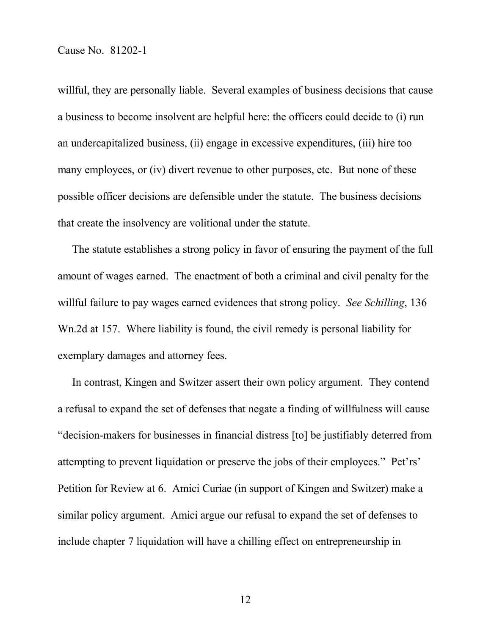willful, they are personally liable. Several examples of business decisions that cause a business to become insolvent are helpful here: the officers could decide to (i) run an undercapitalized business, (ii) engage in excessive expenditures, (iii) hire too many employees, or (iv) divert revenue to other purposes, etc. But none of these possible officer decisions are defensible under the statute. The business decisions that create the insolvency are volitional under the statute.

The statute establishes a strong policy in favor of ensuring the payment of the full amount of wages earned. The enactment of both a criminal and civil penalty for the willful failure to pay wages earned evidences that strong policy. *See Schilling*, 136 Wn.2d at 157. Where liability is found, the civil remedy is personal liability for exemplary damages and attorney fees.

In contrast, Kingen and Switzer assert their own policy argument. They contend a refusal to expand the set of defenses that negate a finding of willfulness will cause "decision-makers for businesses in financial distress [to] be justifiably deterred from attempting to prevent liquidation or preserve the jobs of their employees." Pet'rs' Petition for Review at 6. Amici Curiae (in support of Kingen and Switzer) make a similar policy argument. Amici argue our refusal to expand the set of defenses to include chapter 7 liquidation will have a chilling effect on entrepreneurship in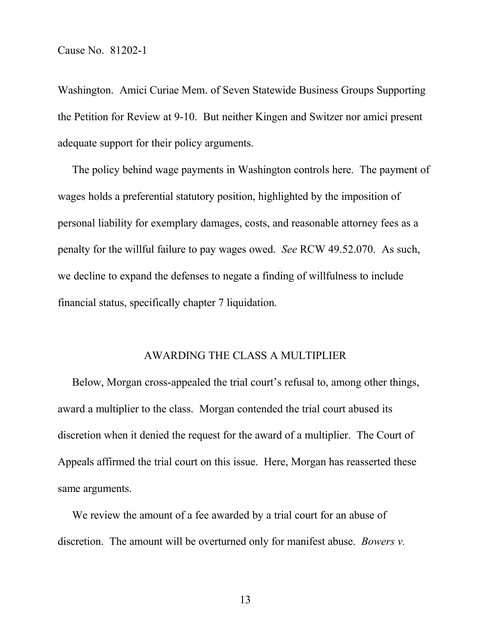Washington. Amici Curiae Mem. of Seven Statewide Business Groups Supporting the Petition for Review at 9-10. But neither Kingen and Switzer nor amici present adequate support for their policy arguments.

The policy behind wage payments in Washington controls here. The payment of wages holds a preferential statutory position, highlighted by the imposition of personal liability for exemplary damages, costs, and reasonable attorney fees as a penalty for the willful failure to pay wages owed. *See* RCW 49.52.070. As such, we decline to expand the defenses to negate a finding of willfulness to include financial status, specifically chapter 7 liquidation.

#### AWARDING THE CLASS A MULTIPLIER

Below, Morgan cross-appealed the trial court's refusal to, among other things, award a multiplier to the class. Morgan contended the trial court abused its discretion when it denied the request for the award of a multiplier. The Court of Appeals affirmed the trial court on this issue. Here, Morgan has reasserted these same arguments.

We review the amount of a fee awarded by a trial court for an abuse of discretion. The amount will be overturned only for manifest abuse. *Bowers v.*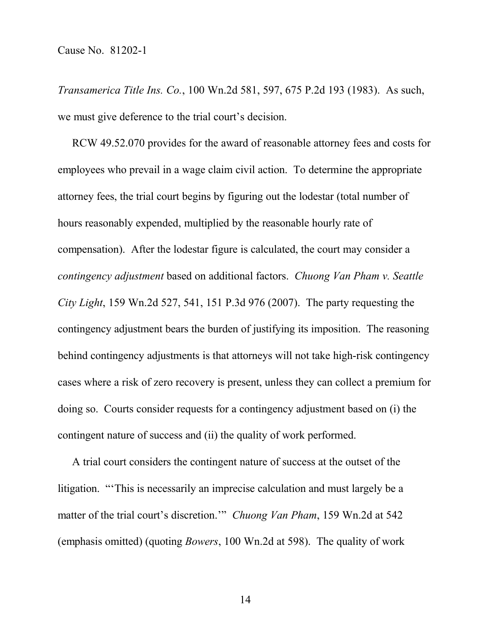*Transamerica Title Ins. Co.*, 100 Wn.2d 581, 597, 675 P.2d 193 (1983). As such, we must give deference to the trial court's decision.

RCW 49.52.070 provides for the award of reasonable attorney fees and costs for employees who prevail in a wage claim civil action. To determine the appropriate attorney fees, the trial court begins by figuring out the lodestar (total number of hours reasonably expended, multiplied by the reasonable hourly rate of compensation). After the lodestar figure is calculated, the court may consider a *contingency adjustment* based on additional factors. *Chuong Van Pham v. Seattle City Light*, 159 Wn.2d 527, 541, 151 P.3d 976 (2007). The party requesting the contingency adjustment bears the burden of justifying its imposition. The reasoning behind contingency adjustments is that attorneys will not take high-risk contingency cases where a risk of zero recovery is present, unless they can collect a premium for doing so. Courts consider requests for a contingency adjustment based on (i) the contingent nature of success and (ii) the quality of work performed.

A trial court considers the contingent nature of success at the outset of the litigation. "'This is necessarily an imprecise calculation and must largely be a matter of the trial court's discretion.'" *Chuong Van Pham*, 159 Wn.2d at 542 (emphasis omitted) (quoting *Bowers*, 100 Wn.2d at 598). The quality of work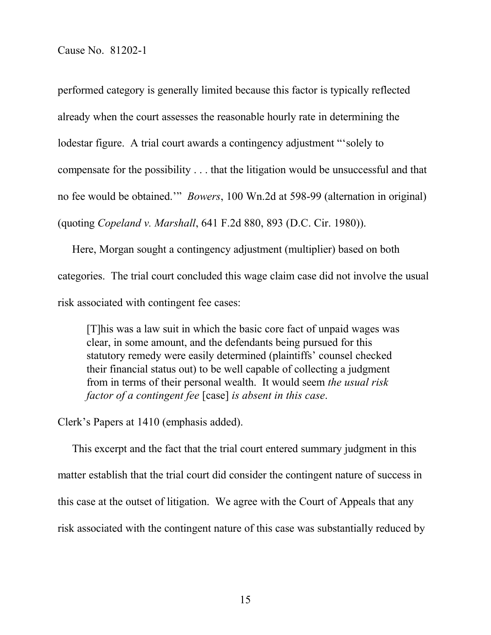performed category is generally limited because this factor is typically reflected already when the court assesses the reasonable hourly rate in determining the lodestar figure. A trial court awards a contingency adjustment "'solely to compensate for the possibility . . . that the litigation would be unsuccessful and that no fee would be obtained.'" *Bowers*, 100 Wn.2d at 598-99 (alternation in original) (quoting *Copeland v. Marshall*, 641 F.2d 880, 893 (D.C. Cir. 1980)).

Here, Morgan sought a contingency adjustment (multiplier) based on both categories. The trial court concluded this wage claim case did not involve the usual risk associated with contingent fee cases:

[T]his was a law suit in which the basic core fact of unpaid wages was clear, in some amount, and the defendants being pursued for this statutory remedy were easily determined (plaintiffs' counsel checked their financial status out) to be well capable of collecting a judgment from in terms of their personal wealth. It would seem *the usual risk factor of a contingent fee* [case] *is absent in this case*.

Clerk's Papers at 1410 (emphasis added).

This excerpt and the fact that the trial court entered summary judgment in this matter establish that the trial court did consider the contingent nature of success in this case at the outset of litigation. We agree with the Court of Appeals that any risk associated with the contingent nature of this case was substantially reduced by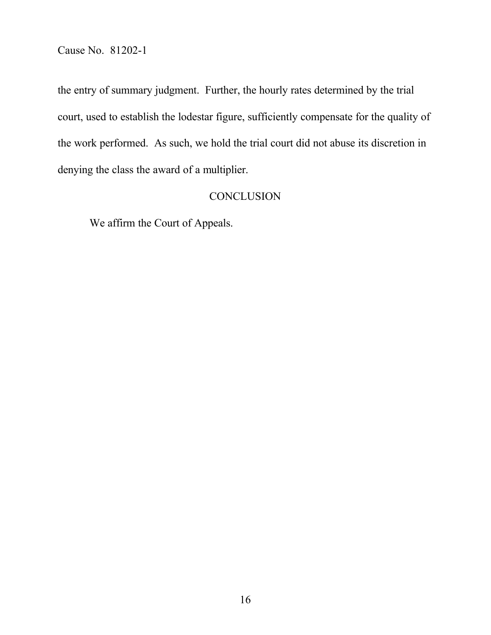the entry of summary judgment. Further, the hourly rates determined by the trial court, used to establish the lodestar figure, sufficiently compensate for the quality of the work performed. As such, we hold the trial court did not abuse its discretion in denying the class the award of a multiplier.

# **CONCLUSION**

We affirm the Court of Appeals.